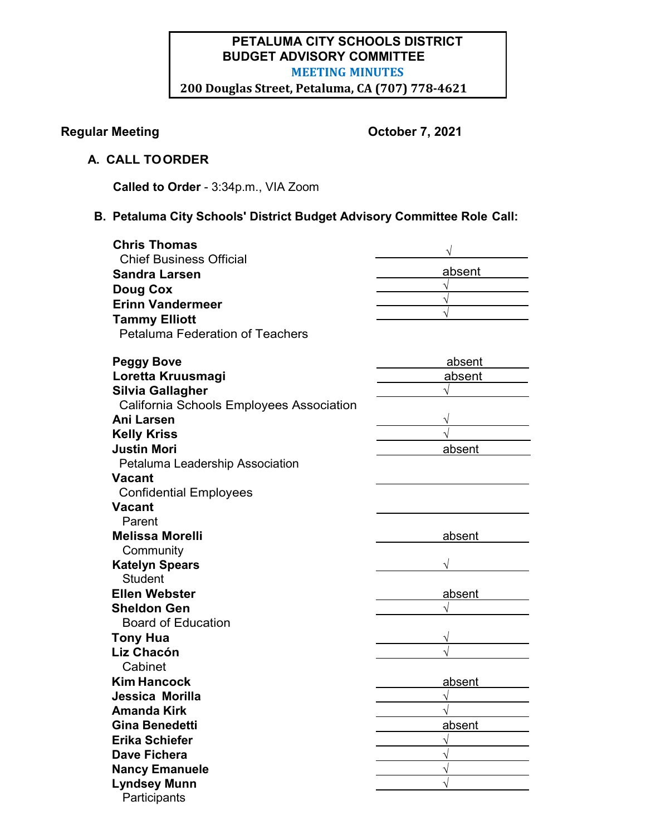# **PETALUMA CITY SCHOOLS DISTRICT BUDGET ADVISORY COMMITTEE MEETING MINUTES 200 Douglas Street, Petaluma, CA (707) 778-4621**

# **Regular Meeting Community Community Regular Meeting Community Community Community Community Community Community Community Community Community Community Community Community Community Community Community Community Community**

# **A. CALL TOORDER**

**Called to Order** - 3:34p.m., VIA Zoom

# **B. Petaluma City Schools' District Budget Advisory Committee Role Call:**

| <b>Chris Thomas</b>                            |        |
|------------------------------------------------|--------|
| <b>Chief Business Official</b>                 |        |
| <b>Sandra Larsen</b>                           | absent |
| <b>Doug Cox</b>                                |        |
| <b>Erinn Vandermeer</b>                        |        |
| <b>Tammy Elliott</b>                           |        |
| <b>Petaluma Federation of Teachers</b>         |        |
|                                                |        |
| <b>Peggy Bove</b>                              | absent |
| Loretta Kruusmagi                              | absent |
| Silvia Gallagher                               |        |
| California Schools Employees Association       |        |
| Ani Larsen                                     |        |
| <b>Kelly Kriss</b>                             |        |
| Justin Mori                                    | absent |
| Petaluma Leadership Association                |        |
| Vacant                                         |        |
| <b>Confidential Employees</b><br><b>Vacant</b> |        |
| Parent                                         |        |
| <b>Melissa Morelli</b>                         | absent |
| Community                                      |        |
| <b>Katelyn Spears</b>                          |        |
| <b>Student</b>                                 |        |
| <b>Ellen Webster</b>                           | absent |
| <b>Sheldon Gen</b>                             |        |
| <b>Board of Education</b>                      |        |
| <b>Tony Hua</b>                                |        |
| Liz Chacón                                     |        |
| Cabinet                                        |        |
| <b>Kim Hancock</b>                             | absent |
| Jessica Morilla                                |        |
| Amanda Kirk                                    |        |
| <b>Gina Benedetti</b>                          | absent |
| <b>Erika Schiefer</b>                          |        |
| <b>Dave Fichera</b>                            |        |
| <b>Nancy Emanuele</b>                          |        |
| <b>Lyndsey Munn</b>                            |        |
| Participants                                   |        |